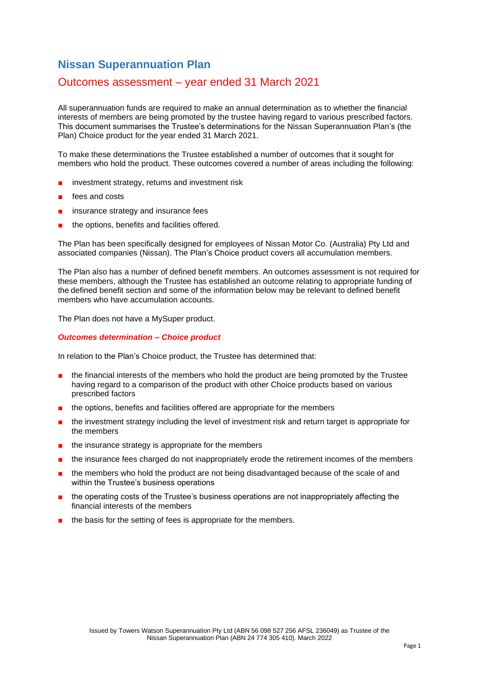# **Nissan Superannuation Plan**

## Outcomes assessment – year ended 31 March 2021

All superannuation funds are required to make an annual determination as to whether the financial interests of members are being promoted by the trustee having regard to various prescribed factors. This document summarises the Trustee's determinations for the Nissan Superannuation Plan's (the Plan) Choice product for the year ended 31 March 2021.

To make these determinations the Trustee established a number of outcomes that it sought for members who hold the product. These outcomes covered a number of areas including the following:

- investment strategy, returns and investment risk
- fees and costs
- insurance strategy and insurance fees
- the options, benefits and facilities offered.

The Plan has been specifically designed for employees of Nissan Motor Co. (Australia) Pty Ltd and associated companies (Nissan). The Plan's Choice product covers all accumulation members.

The Plan also has a number of defined benefit members. An outcomes assessment is not required for these members, although the Trustee has established an outcome relating to appropriate funding of the defined benefit section and some of the information below may be relevant to defined benefit members who have accumulation accounts.

The Plan does not have a MySuper product.

#### *Outcomes determination – Choice product*

In relation to the Plan's Choice product, the Trustee has determined that:

- the financial interests of the members who hold the product are being promoted by the Trustee having regard to a comparison of the product with other Choice products based on various prescribed factors
- the options, benefits and facilities offered are appropriate for the members
- the investment strategy including the level of investment risk and return target is appropriate for the members
- the insurance strategy is appropriate for the members
- the insurance fees charged do not inappropriately erode the retirement incomes of the members
- the members who hold the product are not being disadvantaged because of the scale of and within the Trustee's business operations
- the operating costs of the Trustee's business operations are not inappropriately affecting the financial interests of the members
- the basis for the setting of fees is appropriate for the members.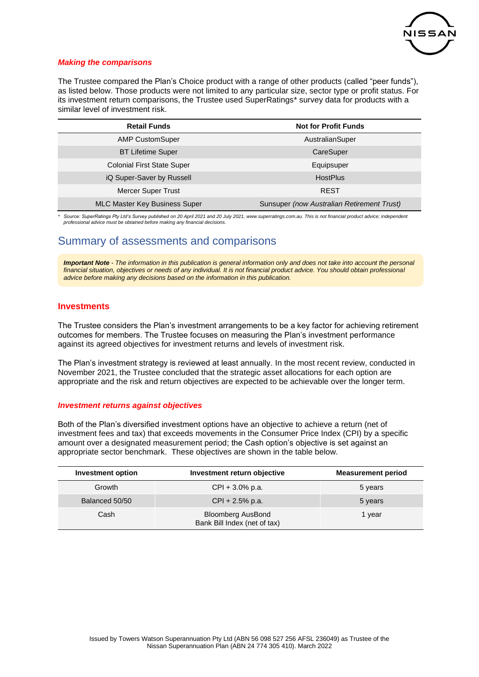

## *Making the comparisons*

The Trustee compared the Plan's Choice product with a range of other products (called "peer funds"), as listed below. Those products were not limited to any particular size, sector type or profit status. For its investment return comparisons, the Trustee used SuperRatings\* survey data for products with a similar level of investment risk.

| <b>Retail Funds</b>                  | <b>Not for Profit Funds</b>                |  |
|--------------------------------------|--------------------------------------------|--|
| <b>AMP CustomSuper</b>               | AustralianSuper                            |  |
| <b>BT Lifetime Super</b>             | CareSuper                                  |  |
| <b>Colonial First State Super</b>    | Equipsuper                                 |  |
| iQ Super-Saver by Russell            | <b>HostPlus</b>                            |  |
| <b>Mercer Super Trust</b>            | <b>REST</b>                                |  |
| <b>MLC Master Key Business Super</b> | Sunsuper (now Australian Retirement Trust) |  |

*\* Source: SuperRatings Pty Ltd's Survey published on 20 April 2021 and 20 July 2021, www.superratings.com.au. This is not financial product advice; independent professional advice must be obtained before making any financial decisions.*

## Summary of assessments and comparisons

*Important Note - The information in this publication is general information only and does not take into account the personal*  financial situation, objectives or needs of any individual. It is not financial product advice. You should obtain professional *advice before making any decisions based on the information in this publication.*

## **Investments**

The Trustee considers the Plan's investment arrangements to be a key factor for achieving retirement outcomes for members. The Trustee focuses on measuring the Plan's investment performance against its agreed objectives for investment returns and levels of investment risk.

The Plan's investment strategy is reviewed at least annually. In the most recent review, conducted in November 2021, the Trustee concluded that the strategic asset allocations for each option are appropriate and the risk and return objectives are expected to be achievable over the longer term.

#### *Investment returns against objectives*

Both of the Plan's diversified investment options have an objective to achieve a return (net of investment fees and tax) that exceeds movements in the Consumer Price Index (CPI) by a specific amount over a designated measurement period; the Cash option's objective is set against an appropriate sector benchmark. These objectives are shown in the table below.

| <b>Investment option</b> | Investment return objective                              | <b>Measurement period</b> |
|--------------------------|----------------------------------------------------------|---------------------------|
| Growth                   | $CPI + 3.0\%$ p.a.                                       | 5 years                   |
| Balanced 50/50           | $CPI + 2.5%$ p.a.                                        | 5 years                   |
| Cash                     | <b>Bloomberg AusBond</b><br>Bank Bill Index (net of tax) | 1 year                    |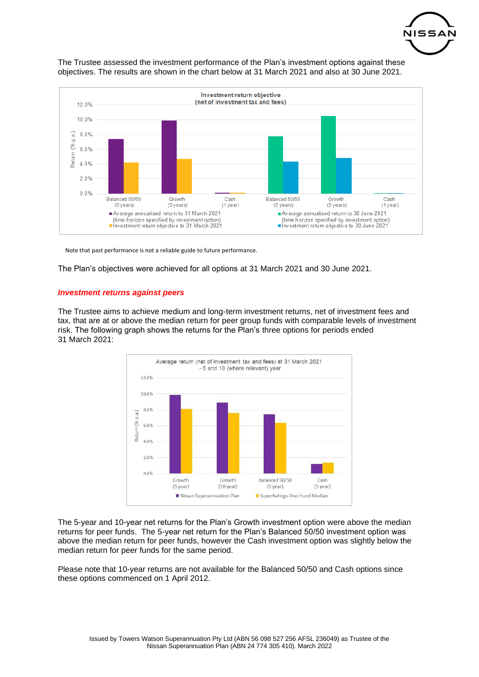





Note that past performance is not a reliable guide to future performance.

The Plan's objectives were achieved for all options at 31 March 2021 and 30 June 2021.

#### *Investment returns against peers*

The Trustee aims to achieve medium and long-term investment returns, net of investment fees and tax, that are at or above the median return for peer group funds with comparable levels of investment risk. The following graph shows the returns for the Plan's three options for periods ended 31 March 2021:



The 5-year and 10-year net returns for the Plan's Growth investment option were above the median returns for peer funds. The 5-year net return for the Plan's Balanced 50/50 investment option was above the median return for peer funds, however the Cash investment option was slightly below the median return for peer funds for the same period.

Please note that 10-year returns are not available for the Balanced 50/50 and Cash options since these options commenced on 1 April 2012.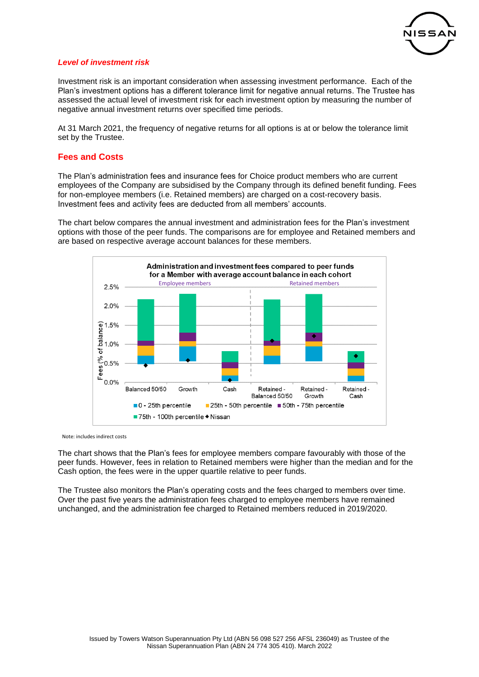

## *Level of investment risk*

Investment risk is an important consideration when assessing investment performance. Each of the Plan's investment options has a different tolerance limit for negative annual returns. The Trustee has assessed the actual level of investment risk for each investment option by measuring the number of negative annual investment returns over specified time periods.

At 31 March 2021, the frequency of negative returns for all options is at or below the tolerance limit set by the Trustee.

## **Fees and Costs**

The Plan's administration fees and insurance fees for Choice product members who are current employees of the Company are subsidised by the Company through its defined benefit funding. Fees for non-employee members (i.e. Retained members) are charged on a cost-recovery basis. Investment fees and activity fees are deducted from all members' accounts.

The chart below compares the annual investment and administration fees for the Plan's investment options with those of the peer funds. The comparisons are for employee and Retained members and are based on respective average account balances for these members.



Note: includes indirect costs

The chart shows that the Plan's fees for employee members compare favourably with those of the peer funds. However, fees in relation to Retained members were higher than the median and for the Cash option, the fees were in the upper quartile relative to peer funds.

The Trustee also monitors the Plan's operating costs and the fees charged to members over time. Over the past five years the administration fees charged to employee members have remained unchanged, and the administration fee charged to Retained members reduced in 2019/2020.